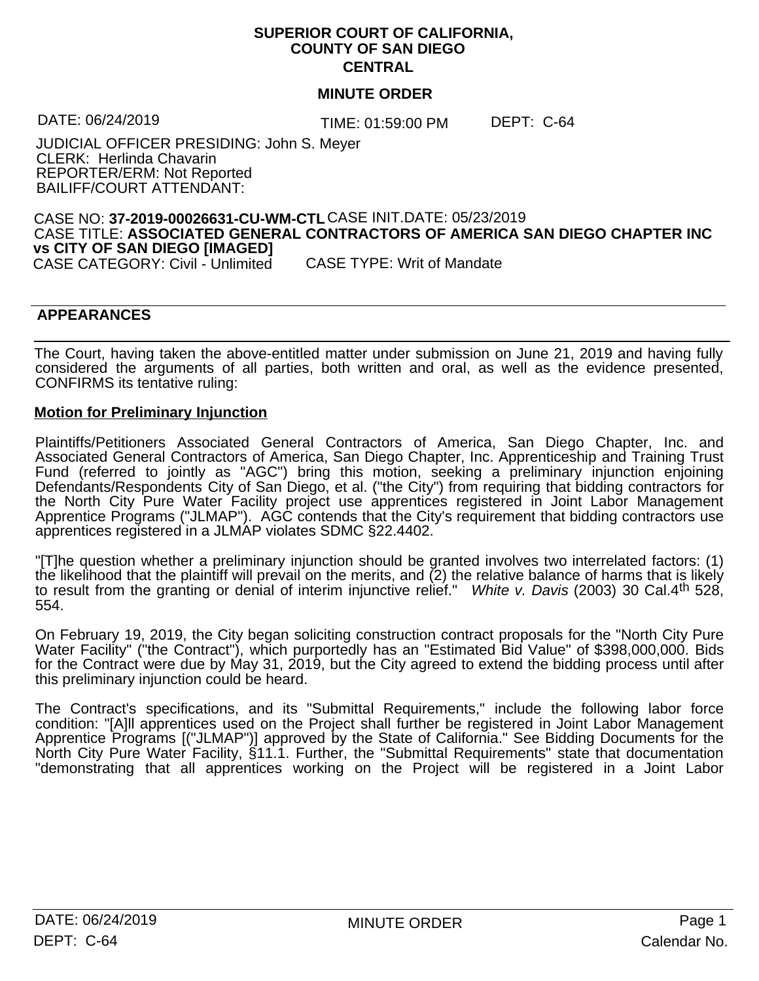# **SUPERIOR COURT OF CALIFORNIA, COUNTY OF SAN DIEGO CENTRAL**

# **MINUTE ORDER**

TIME: 01:59:00 PM DATE: 06/24/2019 DEPT: C-64

JUDICIAL OFFICER PRESIDING: John S. Meyer CLERK: Herlinda Chavarin REPORTER/ERM: Not Reported BAILIFF/COURT ATTENDANT:

# CASE NO: **37-2019-00026631-CU-WM-CTL** CASE INIT.DATE: 05/23/2019 CASE TITLE: **ASSOCIATED GENERAL CONTRACTORS OF AMERICA SAN DIEGO CHAPTER INC vs CITY OF SAN DIEGO [IMAGED]**

CASE CATEGORY: Civil - Unlimited

# **APPEARANCES** STOLOURS AND STOLOURS ARE STOLEN ASSESSED.

The Court, having taken the above-entitled matter under submission on June 21, 2019 and having fully considered the arguments of all parties, both written and oral, as well as the evidence presented, CONFIRMS its tentative ruling:

### **Motion for Preliminary Injunction**

Plaintiffs/Petitioners Associated General Contractors of America, San Diego Chapter, Inc. and Associated General Contractors of America, San Diego Chapter, Inc. Apprenticeship and Training Trust Fund (referred to jointly as "AGC") bring this motion, seeking a preliminary injunction enjoining Defendants/Respondents City of San Diego, et al. ("the City") from requiring that bidding contractors for the North City Pure Water Facility project use apprentices registered in Joint Labor Management Apprentice Programs ("JLMAP"). AGC contends that the City's requirement that bidding contractors use apprentices registered in a JLMAP violates SDMC §22.4402.

"[T]he question whether a preliminary injunction should be granted involves two interrelated factors: (1) the likelihood that the plaintiff will prevail on the merits, and (2) the relative balance of harms that is likely to result from the granting or denial of interim injunctive relief." *White v. Davis* (2003) 30 Cal.4th 528, 554.

On February 19, 2019, the City began soliciting construction contract proposals for the "North City Pure Water Facility" ("the Contract"), which purportedly has an "Estimated Bid Value" of \$398,000,000. Bids for the Contract were due by May 31, 2019, but the City agreed to extend the bidding process until after this preliminary injunction could be heard.

The Contract's specifications, and its "Submittal Requirements," include the following labor force condition: "[A]ll apprentices used on the Project shall further be registered in Joint Labor Management Apprentice Programs [("JLMAP")] approved by the State of California." See Bidding Documents for the North City Pure Water Facility, §11.1. Further, the "Submittal Requirements" state that documentation "demonstrating that all apprentices working on the Project will be registered in a Joint Labor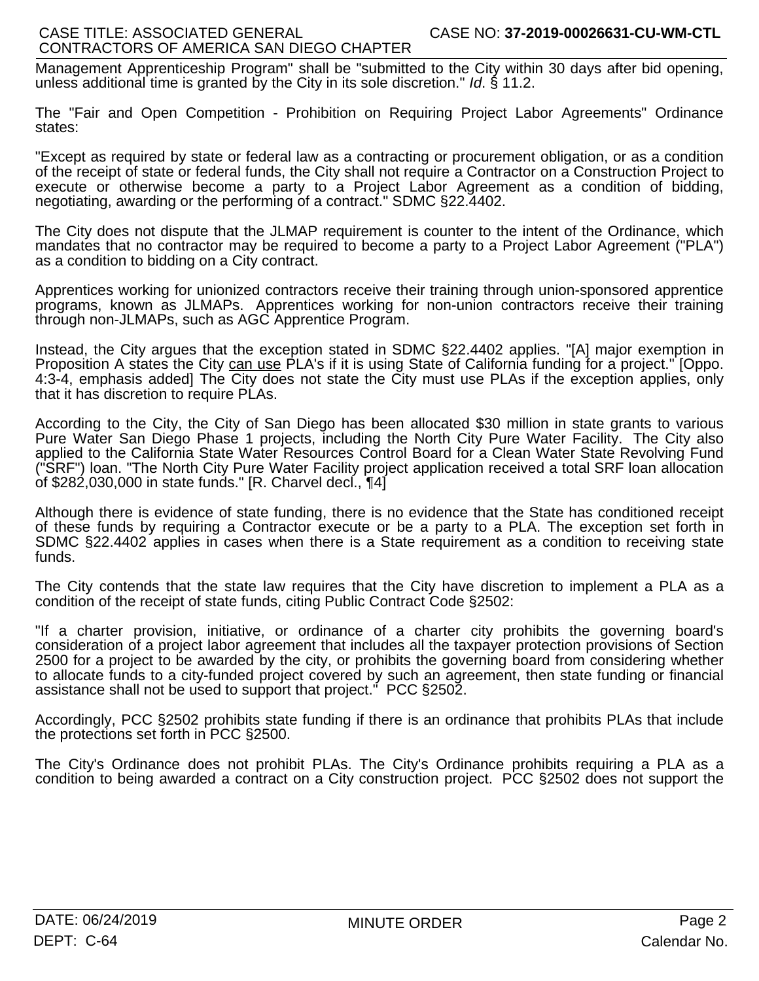Management Apprenticeship Program" shall be "submitted to the City within 30 days after bid opening, unless additional time is granted by the City in its sole discretion." *Id*. § 11.2.

The "Fair and Open Competition - Prohibition on Requiring Project Labor Agreements" Ordinance states:

"Except as required by state or federal law as a contracting or procurement obligation, or as a condition of the receipt of state or federal funds, the City shall not require a Contractor on a Construction Project to execute or otherwise become a party to a Project Labor Agreement as a condition of bidding, negotiating, awarding or the performing of a contract." SDMC §22.4402.

The City does not dispute that the JLMAP requirement is counter to the intent of the Ordinance, which mandates that no contractor may be required to become a party to a Project Labor Agreement ("PLA") as a condition to bidding on a City contract.

Apprentices working for unionized contractors receive their training through union-sponsored apprentice programs, known as JLMAPs. Apprentices working for non-union contractors receive their training through non-JLMAPs, such as AGC Apprentice Program.

Instead, the City argues that the exception stated in SDMC §22.4402 applies. "[A] major exemption in Proposition A states the City can use PLA's if it is using State of California funding for a project." [Oppo. 4:3-4, emphasis added] The City does not state the City must use PLAs if the exception applies, only that it has discretion to require PLAs.

According to the City, the City of San Diego has been allocated \$30 million in state grants to various Pure Water San Diego Phase 1 projects, including the North City Pure Water Facility. The City also applied to the California State Water Resources Control Board for a Clean Water State Revolving Fund ("SRF") loan. "The North City Pure Water Facility project application received a total SRF loan allocation of \$282,030,000 in state funds." [R. Charvel decl., ¶4]

Although there is evidence of state funding, there is no evidence that the State has conditioned receipt of these funds by requiring a Contractor execute or be a party to a PLA. The exception set forth in SDMC §22.4402 applies in cases when there is a State requirement as a condition to receiving state funds.

The City contends that the state law requires that the City have discretion to implement a PLA as a condition of the receipt of state funds, citing Public Contract Code §2502:

"If a charter provision, initiative, or ordinance of a charter city prohibits the governing board's consideration of a project labor agreement that includes all the taxpayer protection provisions of Section 2500 for a project to be awarded by the city, or prohibits the governing board from considering whether to allocate funds to a city-funded project covered by such an agreement, then state funding or financial assistance shall not be used to support that project." PCC §2502.

Accordingly, PCC §2502 prohibits state funding if there is an ordinance that prohibits PLAs that include the protections set forth in PCC §2500.

The City's Ordinance does not prohibit PLAs. The City's Ordinance prohibits requiring a PLA as a condition to being awarded a contract on a City construction project. PCC §2502 does not support the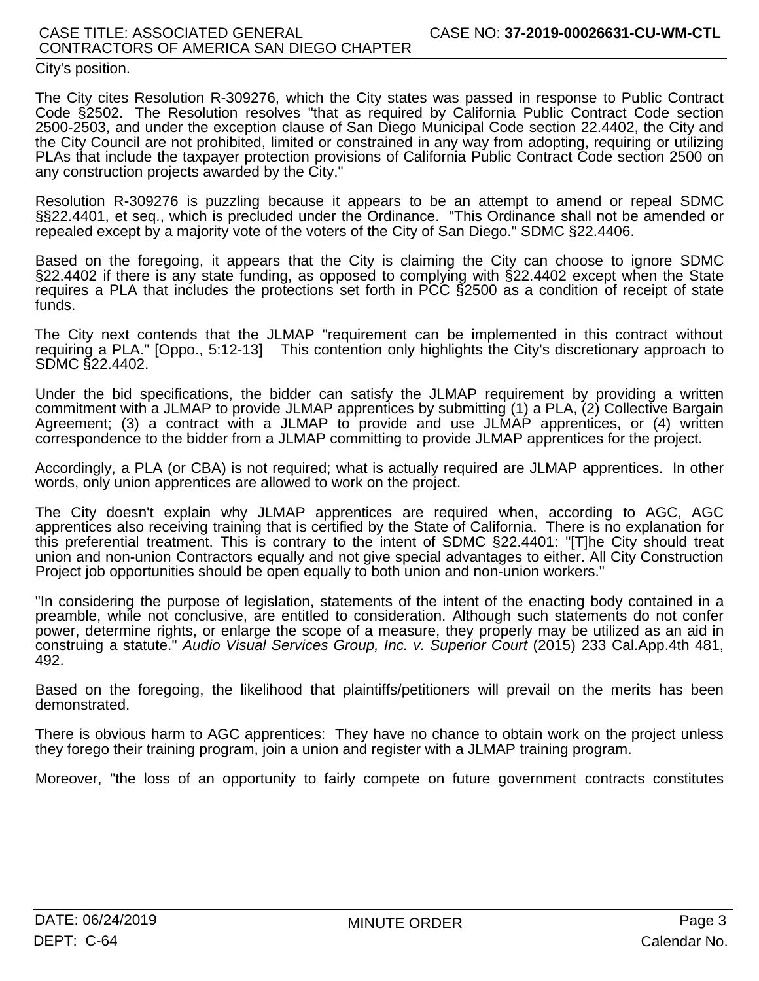# City's position.

The City cites Resolution R-309276, which the City states was passed in response to Public Contract Code §2502. The Resolution resolves "that as required by California Public Contract Code section 2500-2503, and under the exception clause of San Diego Municipal Code section 22.4402, the City and the City Council are not prohibited, limited or constrained in any way from adopting, requiring or utilizing PLAs that include the taxpayer protection provisions of California Public Contract Code section 2500 on any construction projects awarded by the City."

Resolution R-309276 is puzzling because it appears to be an attempt to amend or repeal SDMC §§22.4401, et seq., which is precluded under the Ordinance. "This Ordinance shall not be amended or repealed except by a majority vote of the voters of the City of San Diego." SDMC §22.4406.

Based on the foregoing, it appears that the City is claiming the City can choose to ignore SDMC §22.4402 if there is any state funding, as opposed to complying with §22.4402 except when the State requires a PLA that includes the protections set forth in PCC §2500 as a condition of receipt of state funds.

The City next contends that the JLMAP "requirement can be implemented in this contract without requiring a PLA." [Oppo., 5:12-13] This contention only highlights the City's discretionary approach to SDMC §22.4402.

Under the bid specifications, the bidder can satisfy the JLMAP requirement by providing a written commitment with a JLMAP to provide JLMAP apprentices by submitting (1) a PLA, (2) Collective Bargain Agreement; (3) a contract with a JLMAP to provide and use JLMAP apprentices, or (4) written correspondence to the bidder from a JLMAP committing to provide JLMAP apprentices for the project.

Accordingly, a PLA (or CBA) is not required; what is actually required are JLMAP apprentices. In other words, only union apprentices are allowed to work on the project.

The City doesn't explain why JLMAP apprentices are required when, according to AGC, AGC apprentices also receiving training that is certified by the State of California. There is no explanation for this preferential treatment. This is contrary to the intent of SDMC §22.4401: "[T]he City should treat union and non-union Contractors equally and not give special advantages to either. All City Construction Project job opportunities should be open equally to both union and non-union workers."

"In considering the purpose of legislation, statements of the intent of the enacting body contained in a preamble, while not conclusive, are entitled to consideration. Although such statements do not confer power, determine rights, or enlarge the scope of a measure, they properly may be utilized as an aid in construing a statute." *Audio Visual Services Group, Inc. v. Superior Court* (2015) 233 Cal.App.4th 481, 492.

Based on the foregoing, the likelihood that plaintiffs/petitioners will prevail on the merits has been demonstrated.

There is obvious harm to AGC apprentices: They have no chance to obtain work on the project unless they forego their training program, join a union and register with a JLMAP training program.

Moreover, "the loss of an opportunity to fairly compete on future government contracts constitutes